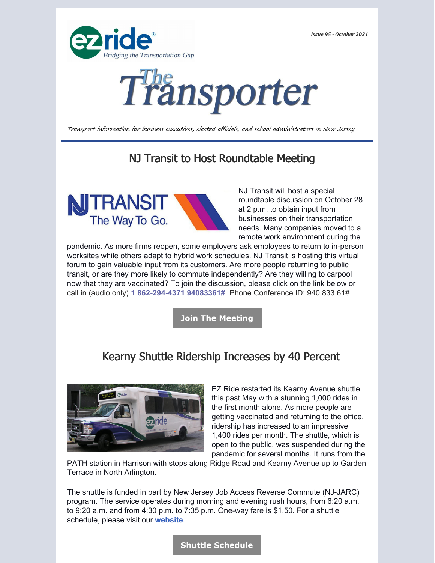*Issue 95 - October 2021*





Transport information for business executives, elected officials, and school administrators in New Jersey

# NJ Transit to Host Roundtable Meeting



NJ Transit will host a special roundtable discussion on October 28 at 2 p.m. to obtain input from businesses on their transportation needs. Many companies moved to a remote work environment during the

pandemic. As more firms reopen, some employers ask employees to return to in-person worksites while others adapt to hybrid work schedules. NJ Transit is hosting this virtual forum to gain valuable input from its customers. Are more people returning to public transit, or are they more likely to commute independently? Are they willing to carpool now that they are vaccinated? To join the discussion, please click on the link below or call in (audio only) **1 862-294-4371 94083361#** Phone Conference ID: 940 833 61#

**Join The [Meeting](https://calendar.google.com/calendar/u/0/r/eventedit/MmdnOWNhbHRoc21uMTVsMTNqa2ZoYzVhMjYga3Nrb3JhQGV6cmlkZS5vcmc)**

# Kearny Shuttle Ridership Increases by 40 Percent



EZ Ride restarted its Kearny Avenue shuttle this past May with a stunning 1,000 rides in the first month alone. As more people are getting vaccinated and returning to the office, ridership has increased to an impressive 1,400 rides per month. The shuttle, which is open to the public, was suspended during the pandemic for several months. It runs from the

PATH station in Harrison with stops along Ridge Road and Kearny Avenue up to Garden Terrace in North Arlington.

The shuttle is funded in part by New Jersey Job Access Reverse Commute (NJ-JARC) program. The service operates during morning and evening rush hours, from 6:20 a.m. to 9:20 a.m. and from 4:30 p.m. to 7:35 p.m. One-way fare is \$1.50. For a shuttle schedule, please visit our **[website](https://ezride.org/routes/232-kearny-avenue-line-fare-required/)**.

#### **Shuttle [Schedule](https://ezride.org/routes/232-kearny-avenue-line-fare-required/)**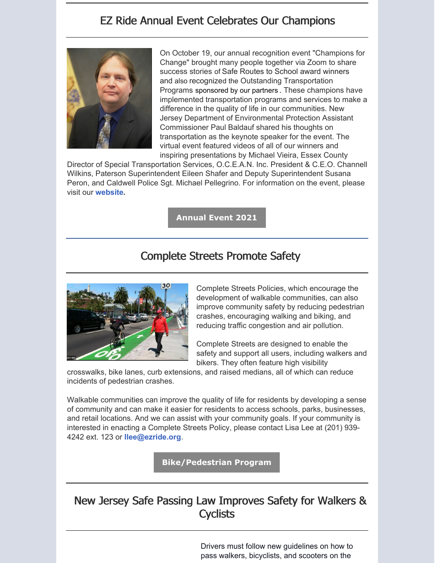# EZ Ride Annual Event Celebrates Our Champions



On October 19, our annual recognition event "Champions for Change" brought many people together via Zoom to share success stories of Safe Routes to School award winners and also recognized the Outstanding Transportation Programs sponsored by our partners . These champions have implemented transportation programs and services to make a difference in the quality of life in our communities. New Jersey Department of Environmental Protection Assistant Commissioner Paul Baldauf shared his thoughts on transportation as the keynote speaker for the event. The virtual event featured videos of all of our winners and inspiring presentations by Michael Vieira, Essex County

Director of Special Transportation Services, O.C.E.A.N. Inc. President & C.E.O. Channell Wilkins, Paterson Superintendent Eileen Shafer and Deputy Superintendent Susana Peron, and Caldwell Police Sgt. Michael Pellegrino. For information on the event, please visit ou[r](https://ezride.org/event/ez-ride-annual-recognition-event-champions-of-change-october-19-2021/) **[website.](https://ezride.org/event/ez-ride-annual-recognition-event-champions-of-change-october-19-2021/)**

**[Annual](https://ezride.org/event/ez-ride-annual-recognition-event-champions-of-change-october-19-2021/) Event 2021**

## Complete Streets Promote Safety



Complete Streets Policies, which encourage the development of walkable communities, can also improve community safety by reducing pedestrian crashes, encouraging walking and biking, and reducing traffic congestion and air pollution.

Complete Streets are designed to enable the safety and support all users, including walkers and bikers. They often feature high visibility

crosswalks, bike lanes, curb extensions, and raised medians, all of which can reduce incidents of pedestrian crashes.

Walkable communities can improve the quality of life for residents by developing a sense of community and can make it easier for residents to access schools, parks, businesses, and retail locations. And we can assist with your community goals. If your community is interested in enacting a Complete Streets Policy, please contact Lisa Lee at (201) 939- 4242 ext. 123 or **[llee@ezride.org](mailto:llee@ezride.org)**.

**[Bike/Pedestrian](https://ezride.org/transportation/bikepedestrian-program/) Program**

# New Jersey Safe Passing Law Improves Safety for Walkers & **Cyclists**

Drivers must follow new guidelines on how to pass walkers, bicyclists, and scooters on the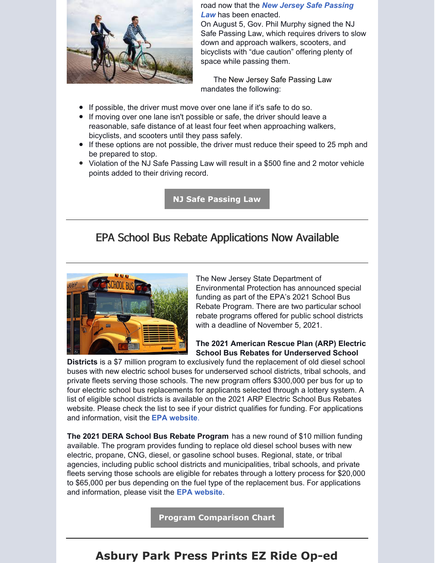

road now that the *New Jersey Safe [Passing](https://www.nj.com/news/2021/08/drivers-must-now-move-over-when-passing-people-walking-and-on-bikes.html?outputType=amp) Law* has been enacted.

On August 5, Gov. Phil Murphy signed the NJ Safe Passing Law, which requires drivers to slow down and approach walkers, scooters, and bicyclists with "due caution" offering plenty of space while passing them.

The New Jersey Safe Passing Law mandates the following:

- If possible, the driver must move over one lane if it's safe to do so.
- If moving over one lane isn't possible or safe, the driver should leave a reasonable, safe distance of at least four feet when approaching walkers, bicyclists, and scooters until they pass safely.
- If these options are not possible, the driver must reduce their speed to 25 mph and be prepared to stop.
- Violation of the NJ Safe Passing Law will result in a \$500 fine and 2 motor vehicle points added to their driving record.

**NJ Safe [Passing](https://www.nj.com/news/2021/08/drivers-must-now-move-over-when-passing-people-walking-and-on-bikes.html?outputType=amp) Law**

#### EPA School Bus Rebate Applications Now Available



The New Jersey State Department of Environmental Protection has announced special funding as part of the EPA's 2021 School Bus Rebate Program. There are two particular school rebate programs offered for public school districts with a deadline of November 5, 2021.

#### **The 2021 American Rescue Plan (ARP) Electric School Bus Rebates for Underserved School**

**Districts** is a \$7 million program to exclusively fund the replacement of old diesel school buses with new electric school buses for underserved school districts, tribal schools, and private fleets serving those schools. The new program offers \$300,000 per bus for up to four electric school bus replacements for applicants selected through a lottery system. A list of eligible school districts is available on the 2021 ARP Electric School Bus Rebates website. Please check the list to see if your district qualifies for funding. For applications and information, visit the **EPA [website](https://www.epa.gov/dera/2021-american-rescue-plan-arp-electric-school-bus-rebates)**.

**The 2021 DERA School Bus Rebate Program** has a new round of \$10 million funding available. The program provides funding to replace old diesel school buses with new electric, propane, CNG, diesel, or gasoline school buses. Regional, state, or tribal agencies, including public school districts and municipalities, tribal schools, and private fleets serving those schools are eligible for rebates through a lottery process for \$20,000 to \$65,000 per bus depending on the fuel type of the replacement bus. For applications and information, please visit the **EPA [website](https://www.epa.gov/dera/rebates)**.

**Program [Comparison](https://www.epa.gov/dera/2021-american-rescue-plan-arp-electric-school-bus-rebates?utm_medium=email&utm_source=govdelivery#arp_dera) Chart**

## **Asbury Park Press Prints EZ Ride Op-ed**